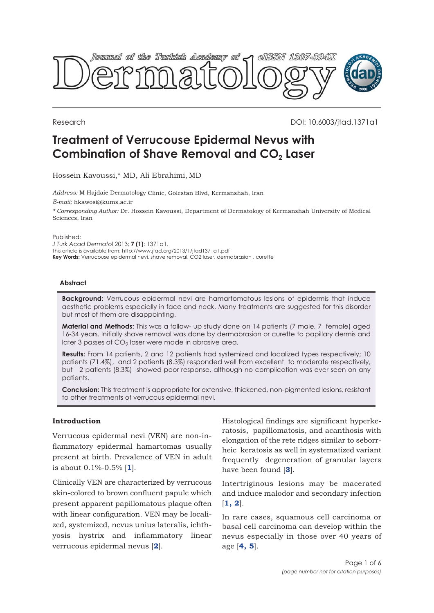

Research DOI: 10.6003/jtad.1371a1

# **Treatment of Verrucouse Epidermal Nevus with Combination of Shave Removal and CO<sub>2</sub> Laser**

Hossein Kavoussi,\* MD, Ali Ebrahimi, MD

*Address:* M Hajdaie Dermatology Clinic, Golestan Blvd, Kermanshah, Iran *E-mail:* hkawosi@kums.ac.ir *\* Corresponding Author:* Dr. Hossein Kavoussi, Department of Dermatology of Kermanshah University of Medical Sciences, Iran

Published:

*J Turk Acad Dermatol* 2013; **7 (1)**: 1371a1. This article is available from: http://www.jtad.org/2013/1/jtad1371a1.pdf

**Key Words:** Verrucouse epidermal nevi, shave removal, CO2 laser, dermabrasion , curette

### **Abstract**

**Background:** Verrucous epidermal nevi are hamartomatous lesions of epidermis that induce aesthetic problems especially in face and neck. Many treatments are suggested for this disorder but most of them are disappointing.

**Material and Methods:** This was a follow- up study done on 14 patients (7 male, 7 female) aged 16-34 years. Initially shave removal was done by dermabrasion or curette to papillary dermis and later 3 passes of  $CO<sub>2</sub>$  laser were made in abrasive area.

**Results:** From 14 patients, 2 and 12 patients had systemized and localized types respectively; 10 patients (71.4%), and 2 patients (8.3%) responded well from excellent to moderate respectively, but 2 patients (8.3%) showed poor response, although no complication was ever seen on any patients.

**Conclusion:** This treatment is appropriate for extensive, thickened, non-pigmented lesions, resistant to other treatments of verrucous epidermal nevi.

### **Introduction**

Verrucous epidermal nevi (VEN) are non-inflammatory epidermal hamartomas usually present at birth. Prevalence of VEN in adult is about 0.1%-0.5% [**[1](#page-4-0)**].

Clinically VEN are characterized by verrucous skin-colored to brown confluent papule which present apparent papillomatous plaque often with linear configuration. VEN may be localized, systemized, nevus unius lateralis, ichthyosis hystrix and inflammatory linear verrucous epidermal nevus [**[2](#page-4-0)**].

Histological findings are significant hyperkeratosis, papillomatosis, and acanthosis with elongation of the rete ridges similar to seborrheic keratosis as well in systematized variant frequently degeneration of granular layers have been found [**[3](#page-4-0)**].

Intertriginous lesions may be macerated and induce malodor and secondary infection [**[1, 2](#page-4-0)**].

In rare cases, squamous cell carcinoma or basal cell carcinoma can develop within the nevus especially in those over 40 years of age [**[4, 5](#page-5-0)**].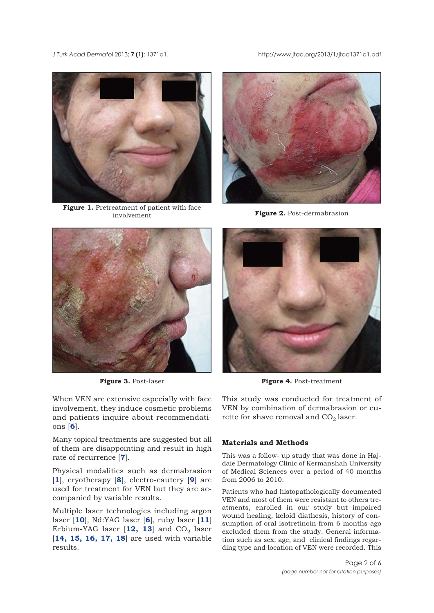<span id="page-1-0"></span>*J Turk Acad Dermato*l 2013; **7 (1)**: 1371a1. http://www.jtad.org/2013/1/jtad1371a1.pdf



Figure 1. Pretreatment of patient with face involvement



**Figure 2.** Post-dermabrasion



**Figure 3.** Post-laser

When VEN are extensive especially with face involvement, they induce cosmetic problems and patients inquire about recommendations [**[6](#page-5-0)**].

Many topical treatments are suggested but all of them are disappointing and result in high rate of recurrence [**[7](#page-5-0)**].

Physical modalities such as dermabrasion [**[1](#page-4-0)**], cryotherapy [**[8](#page-5-0)**], electro-cautery [**[9](#page-5-0)**] are used for treatment for VEN but they are accompanied by variable results.

Multiple laser technologies including argon laser [**[10](#page-5-0)**], Nd:YAG laser [**[6](#page-5-0)**], ruby laser [**[11](#page-5-0)**] Erbium-YAG laser  $[12, 13]$  $[12, 13]$  $[12, 13]$  and  $CO<sub>2</sub>$  laser [**[14, 15, 16, 17, 18](#page-5-0)**] are used with variable results.



**Figure 4.** Post-treatment

This study was conducted for treatment of VEN by combination of dermabrasion or curette for shave removal and  $CO<sub>2</sub>$  laser.

#### **Materials and Methods**

This was a follow- up study that was done in Hajdaie Dermatology Clinic of Kermanshah University of Medical Sciences over a period of 40 months from 2006 to 2010.

Patients who had histopathologically documented VEN and most of them were resistant to others treatments, enrolled in our study but impaired wound healing, keloid diathesis, history of consumption of oral isotretinoin from 6 months ago excluded them from the study. General information such as sex, age, and clinical findings regarding type and location of VEN were recorded. This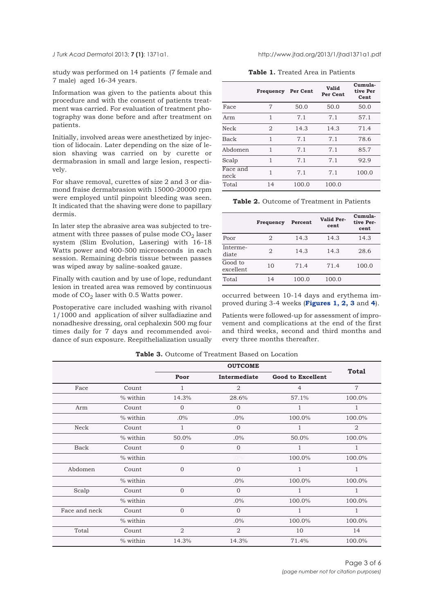<span id="page-2-0"></span>*J Turk Acad Dermatol 2013; 7 (1): 1371a1.* 

study was performed on 14 patients (7 female and 7 male) aged 16-34 years.

Information was given to the patients about this procedure and with the consent of patients treatment was carried. For evaluation of treatment photography was done before and after treatment on patients.

Initially, involved areas were anesthetized by injection of lidocain. Later depending on the size of lesion shaving was carried on by curette or dermabrasion in small and large lesion, respectively.

For shave removal, curettes of size 2 and 3 or diamond fraise dermabrasion with 15000-20000 rpm were employed until pinpoint bleeding was seen. It indicated that the shaving were done to papillary dermis.

In later step the abrasive area was subjected to treatment with three passes of pulse mode  $CO<sub>2</sub>$  laser system (Slim Evolution, Lasering) with 16-18 Watts power and 400-500 microseconds in each session. Remaining debris tissue between passes was wiped away by saline-soaked gauze.

Finally with caution and by use of lope, redundant lesion in treated area was removed by continuous mode of  $CO<sub>2</sub>$  laser with 0.5 Watts power.

Postoperative care included washing with rivanol 1/1000 and application of silver sulfadiazine and nonadhesive dressing, oral cephalexin 500 mg four times daily for 7 days and recommended avoidance of sun exposure. Reepithelialization usually

**Table 1.** Treated Area in Patients

|                  | Frequency      | Per Cent | Valid<br>Per Cent | Cumula-<br>tive Per<br>Cent |
|------------------|----------------|----------|-------------------|-----------------------------|
| Face             | 7              | 50.0     | 50.0              | 50.0                        |
| Arm              | 1              | 7.1      | 7.1               | 57.1                        |
| Neck             | $\mathfrak{D}$ | 14.3     | 14.3              | 71.4                        |
| <b>Back</b>      | 1              | 7.1      | 7.1               | 78.6                        |
| Abdomen          | 1              | 7.1      | 7.1               | 85.7                        |
| Scalp            | 1              | 7.1      | 7.1               | 92.9                        |
| Face and<br>neck | 1              | 7.1      | 7.1               | 100.0                       |
| Total            | 14             | 100.0    | 100.0             |                             |

**Table 2.** Outcome of Treatment in Patients

|                      |                |         |                    | Cumula-           |
|----------------------|----------------|---------|--------------------|-------------------|
|                      | Frequency      | Percent | Valid Per-<br>cent | tive Per-<br>cent |
| Poor                 | $\mathfrak{D}$ | 14.3    | 14.3               | 14.3              |
| Interme-<br>diate    | $\overline{2}$ | 14.3    | 14.3               | 28.6              |
| Good to<br>excellent | 10             | 71.4    | 71.4               | 100.0             |
| Total                | 14             | 100.0   | 100.0              |                   |

occurred between 10-14 days and erythema improved during 3-4 weeks (**[Figures 1, 2, 3](#page-1-0)** [and](#page-1-0) **4**).

Patients were followed-up for assessment of improvement and complications at the end of the first and third weeks, second and third months and every three months thereafter.

|               |          | <b>OUTCOME</b> |                |                          |                |  |
|---------------|----------|----------------|----------------|--------------------------|----------------|--|
|               |          | Poor           | Intermediate   | <b>Good to Excellent</b> | <b>Total</b>   |  |
| Face          | Count    | 1              | $\overline{2}$ | $\overline{4}$           | $\overline{7}$ |  |
|               | % within | 14.3%          | 28.6%          | 57.1%                    | 100.0%         |  |
| Arm           | Count    | $\overline{0}$ | $\overline{0}$ | 1                        | 1              |  |
|               | % within | $.0\%$         | $.0\%$         | 100.0%                   | 100.0%         |  |
| Neck          | Count    | 1              | $\Omega$       |                          | 2              |  |
|               | % within | 50.0%          | $.0\%$         | 50.0%                    | 100.0%         |  |
| <b>Back</b>   | Count    | $\overline{0}$ | $\mathbf{0}$   | 1                        |                |  |
|               | % within |                | $.0\%$         | 100.0%                   | 100.0%         |  |
| Abdomen       | Count    | $\overline{0}$ | $\overline{0}$ | 1                        | 1              |  |
|               | % within |                | $.0\%$         | 100.0%                   | 100.0%         |  |
| Scalp         | Count    | $\Omega$       | $\Omega$       | 1                        | $\mathbf{1}$   |  |
|               | % within |                | $.0\%$         | 100.0%                   | 100.0%         |  |
| Face and neck | Count    | $\overline{0}$ | $\Omega$       | $\mathbf{1}$             | 1              |  |
|               | % within |                | $.0\%$         | 100.0%                   | 100.0%         |  |
| Total         | Count    | $\overline{2}$ | $\mathfrak{D}$ | 10                       | 14             |  |
|               | % within | 14.3%          | 14.3%          | 71.4%                    | 100.0%         |  |

**Table 3.** Outcome of Treatment Based on Location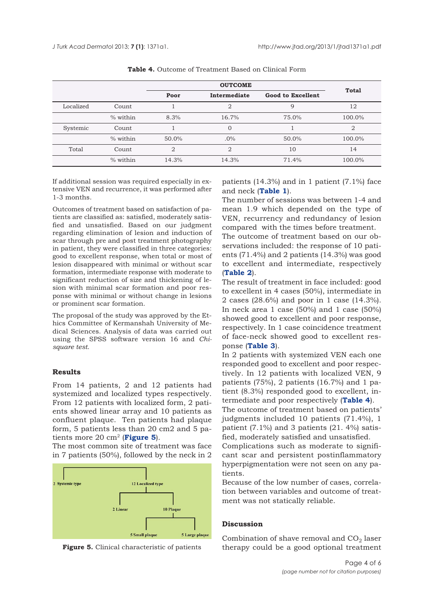|           |          | <b>OUTCOME</b> |                |                          |                |
|-----------|----------|----------------|----------------|--------------------------|----------------|
|           |          | Poor           | Intermediate   | <b>Good to Excellent</b> | <b>Total</b>   |
| Localized | Count    |                | $\overline{2}$ | 9                        | 12             |
|           | % within | 8.3%           | 16.7%          | 75.0%                    | 100.0%         |
| Systemic  | Count    |                | $\overline{0}$ |                          | $\mathfrak{D}$ |
|           | % within | 50.0%          | $.0\%$         | 50.0%                    | 100.0%         |
| Total     | Count    | $\overline{2}$ | $\overline{2}$ | 10                       | 14             |
|           | % within | 14.3%          | 14.3%          | 71.4%                    | 100.0%         |

**Table 4.** Outcome of Treatment Based on Clinical Form

If additional session was required especially in extensive VEN and recurrence, it was performed after 1-3 months.

Outcomes of treatment based on satisfaction of patients are classified as: satisfied, moderately satisfied and unsatisfied. Based on our judgment regarding elimination of lesion and induction of scar through pre and post treatment photography in patient, they were classified in three categories: good to excellent response, when total or most of lesion disappeared with minimal or without scar formation, intermediate response with moderate to significant reduction of size and thickening of lesion with minimal scar formation and poor response with minimal or without change in lesions or prominent scar formation.

The proposal of the study was approved by the Ethics Committee of Kermanshah University of Medical Sciences. Analysis of data was carried out using the SPSS software version 16 and *Chisquare test*.

## **Results**

From 14 patients, 2 and 12 patients had systemized and localized types respectively. From 12 patients with localized form, 2 patients showed linear array and 10 patients as confluent plaque. Ten patients had plaque form, 5 patients less than 20 cm2 and 5 patients more 20 cm2 (**Figure 5**).

The most common site of treatment was face in 7 patients (50%), followed by the neck in 2



**Figure 5.** Clinical characteristic of patients

patients (14.3%) and in 1 patient (7.1%) face and neck (**[Table 1](#page-2-0)**).

The number of sessions was between 1-4 and mean 1.9 which depended on the type of VEN, recurrency and redundancy of lesion compared with the times before treatment.

The outcome of treatment based on our observations included: the response of 10 patients (71.4%) and 2 patients (14.3%) was good to excellent and intermediate, respectively (**[Table 2](#page-2-0)**).

The result of treatment in face included: good to excellent in 4 cases (50%), intermediate in 2 cases (28.6%) and poor in 1 case (14.3%). In neck area 1 case (50%) and 1 case (50%) showed good to excellent and poor response, respectively. In 1 case coincidence treatment of face-neck showed good to excellent response (**[Table 3](#page-2-0)**).

In 2 patients with systemized VEN each one responded good to excellent and poor respectively. In 12 patients with localized VEN, 9 patients (75%), 2 patients (16.7%) and 1 patient (8.3%) responded good to excellent, intermediate and poor respectively (**Table 4**).

The outcome of treatment based on patients' judgments included 10 patients (71.4%), 1 patient (7.1%) and 3 patients (21. 4%) satisfied, moderately satisfied and unsatisfied.

Complications such as moderate to significant scar and persistent postinflammatory hyperpigmentation were not seen on any patients.

Because of the low number of cases, correlation between variables and outcome of treatment was not statically reliable.

## **Discussion**

Combination of shave removal and  $CO<sub>2</sub>$  laser therapy could be a good optional treatment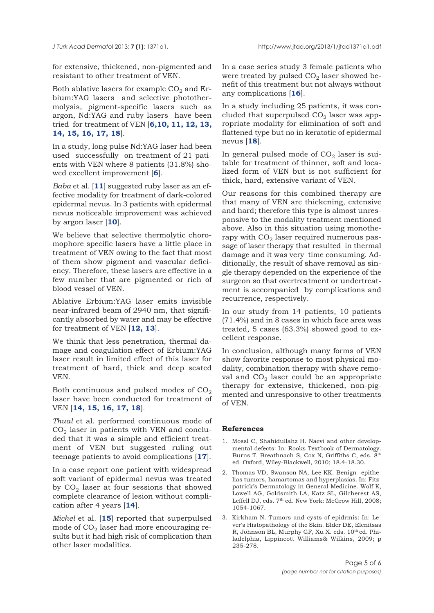<span id="page-4-0"></span>for extensive, thickened, non-pigmented and resistant to other treatment of VEN.

Both ablative lasers for example  $CO<sub>2</sub>$  and Erbium:YAG lasers and selective photothermolysis, pigment-specific lasers such as argon, Nd:YAG and ruby lasers have been [tried for treatment of VEN \[](#page-5-0)**[6,10, 11](#page-5-0), 12, 13, 14, 15, 16, 17, 18**].

In a study, long pulse Nd:YAG laser had been used successfully on treatment of 21 patients with VEN where 8 patients (31.8%) showed excellent improvement [**[6](#page-5-0)**].

*Baba* et al. [**[11](#page-5-0)**] suggested ruby laser as an effective modality for treatment of dark-colored epidermal nevus. In 3 patients with epidermal nevus noticeable improvement was achieved by argon laser [**[10](#page-5-0)**].

We believe that selective thermolytic choromophore specific lasers have a little place in treatment of VEN owing to the fact that most of them show pigment and vascular deficiency. Therefore, these lasers are effective in a few number that are pigmented or rich of blood vessel of VEN.

Ablative Erbium:YAG laser emits invisible near-infrared beam of 2940 nm, that significantly absorbed by water and may be effective for treatment of VEN [**[12, 13](#page-5-0)**].

We think that less penetration, thermal damage and coagulation effect of Erbium:YAG laser result in limited effect of this laser for treatment of hard, thick and deep seated VEN.

Both continuous and pulsed modes of  $CO<sub>2</sub>$ laser have been conducted for treatment of VEN [**[14, 15, 16, 17, 18](#page-5-0)**].

*Thual* et al. performed continuous mode of  $CO<sub>2</sub>$  laser in patients with VEN and concluded that it was a simple and efficient treatment of VEN but suggested ruling out teenage patients to avoid complications [**[17](#page-5-0)**].

In a case report one patient with widespread soft variant of epidermal nevus was treated by  $CO<sub>2</sub>$  laser at four sessions that showed complete clearance of lesion without complication after 4 years [**[14](#page-5-0)**].

*Michel* et al. [**[15](#page-5-0)**] reported that superpulsed mode of  $CO<sub>2</sub>$  laser had more encouraging results but it had high risk of complication than other laser modalities.

In a case series study 3 female patients who were treated by pulsed  $CO<sub>2</sub>$  laser showed benefit of this treatment but not always without any complications [**[16](#page-5-0)**].

In a study including 25 patients, it was concluded that superpulsed  $CO<sub>2</sub>$  laser was appropriate modality for elimination of soft and flattened type but no in keratotic of epidermal nevus [**[18](#page-5-0)**].

In general pulsed mode of  $CO<sub>2</sub>$  laser is suitable for treatment of thinner, soft and localized form of VEN but is not sufficient for thick, hard, extensive variant of VEN.

Our reasons for this combined therapy are that many of VEN are thickening, extensive and hard; therefore this type is almost unresponsive to the modality treatment mentioned above. Also in this situation using monotherapy with  $CO<sub>2</sub>$  laser required numerous passage of laser therapy that resulted in thermal damage and it was very time consuming. Additionally, the result of shave removal as single therapy depended on the experience of the surgeon so that overtreatment or undertreatment is accompanied by complications and recurrence, respectively.

In our study from 14 patients, 10 patients (71.4%) and in 8 cases in which face area was treated, 5 cases (63.3%) showed good to excellent response.

In conclusion, although many forms of VEN show favorite response to most physical modality, combination therapy with shave removal and  $CO<sub>2</sub>$  laser could be an appropriate therapy for extensive, thickened, non-pigmented and unresponsive to other treatments of VEN.

#### **References**

- 1. Mossl C, Shahidullahz H. Naevi and other developmental defects: In: Rooks Textbook of Dermatology. Burns T, Breathnach S, Cox N, Griffiths C, eds. 8<sup>th</sup> ed. Oxford, Wiley-Blackwell, 2010; 18.4-18.30.
- 2. Thomas VD, Swanson NA, Lee KK. Benign epithelias tumors, hamartomas and hyperplasias. In: Fitzpatrick's Dermatology in General Medicine. Wolf K, Lowell AG, Goldsmith LA, Katz SL, Gilcherest AS, Leffell DJ, eds. 7<sup>th</sup> ed. New York: McGrow Hill, 2008; 1054-1067.
- 3. Kirkham N. Tumors and cysts of epidrmis: In: Lever's Histopathology of the Skin. Elder DE, Elenitsas R, Johnson BL, Murphy GF, Xu X. eds. 10<sup>th</sup> ed. Philadelphia, Lippincott Williams& Wilkins, 2009; p 235-278.